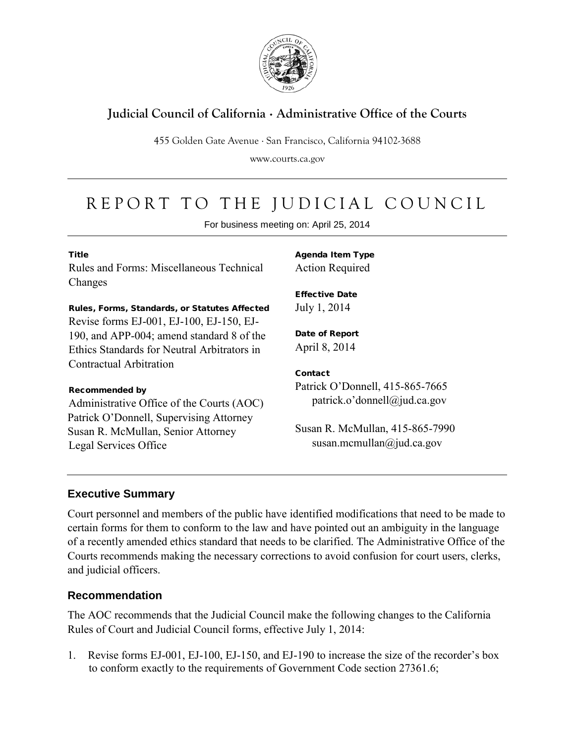

## **Judicial Council of California** . **Administrative Office of the Courts**

455 Golden Gate Avenue . San Francisco, California 94102-3688

www.courts.ca.gov

# REPORT TO THE JUDICIAL COUNCIL

For business meeting on: April 25, 2014

#### **Title**

Rules and Forms: Miscellaneous Technical Changes

Rules, Forms, Standards, or Statutes Affected

Revise forms EJ-001, EJ-100, EJ-150, EJ-190, and APP-004; amend standard 8 of the Ethics Standards for Neutral Arbitrators in Contractual Arbitration

#### Recommended by

Administrative Office of the Courts (AOC) Patrick O'Donnell, Supervising Attorney Susan R. McMullan, Senior Attorney Legal Services Office

Agenda Item Type Action Required

Effective Date July 1, 2014

Date of Report April 8, 2014

#### **Contact**

Patrick O'Donnell, 415-865-7665 patrick.o'donnell@jud.ca.gov

Susan R. McMullan, 415-865-7990 susan.mcmullan@jud.ca.gov

### **Executive Summary**

Court personnel and members of the public have identified modifications that need to be made to certain forms for them to conform to the law and have pointed out an ambiguity in the language of a recently amended ethics standard that needs to be clarified. The Administrative Office of the Courts recommends making the necessary corrections to avoid confusion for court users, clerks, and judicial officers.

### **Recommendation**

The AOC recommends that the Judicial Council make the following changes to the California Rules of Court and Judicial Council forms, effective July 1, 2014:

1. Revise forms EJ-001, EJ-100, EJ-150, and EJ-190 to increase the size of the recorder's box to conform exactly to the requirements of Government Code section 27361.6;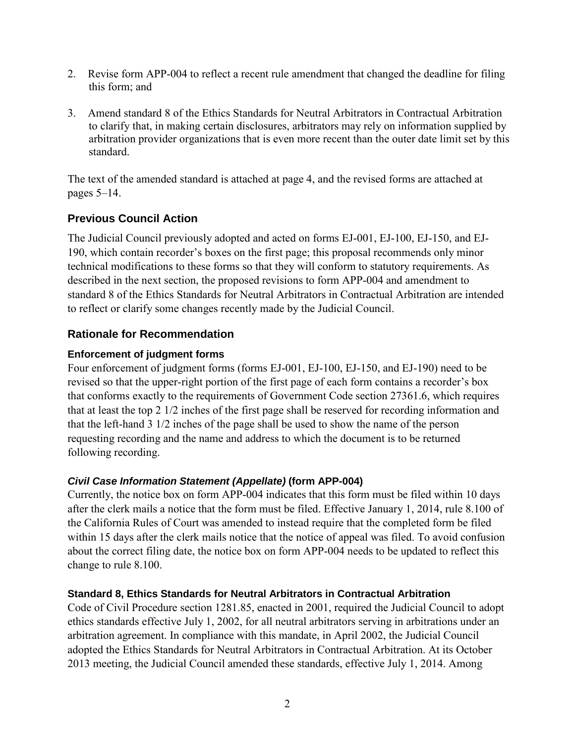- 2. Revise form APP-004 to reflect a recent rule amendment that changed the deadline for filing this form; and
- 3. Amend standard 8 of the Ethics Standards for Neutral Arbitrators in Contractual Arbitration to clarify that, in making certain disclosures, arbitrators may rely on information supplied by arbitration provider organizations that is even more recent than the outer date limit set by this standard.

The text of the amended standard is attached at page 4, and the revised forms are attached at pages 5–14.

### **Previous Council Action**

The Judicial Council previously adopted and acted on forms EJ-001, EJ-100, EJ-150, and EJ-190, which contain recorder's boxes on the first page; this proposal recommends only minor technical modifications to these forms so that they will conform to statutory requirements. As described in the next section, the proposed revisions to form APP-004 and amendment to standard 8 of the Ethics Standards for Neutral Arbitrators in Contractual Arbitration are intended to reflect or clarify some changes recently made by the Judicial Council.

### **Rationale for Recommendation**

### **Enforcement of judgment forms**

Four enforcement of judgment forms (forms EJ-001, EJ-100, EJ-150, and EJ-190) need to be revised so that the upper-right portion of the first page of each form contains a recorder's box that conforms exactly to the requirements of Government Code section 27361.6, which requires that at least the top 2 1/2 inches of the first page shall be reserved for recording information and that the left-hand 3 1/2 inches of the page shall be used to show the name of the person requesting recording and the name and address to which the document is to be returned following recording.

### *Civil Case Information Statement (Appellate)* **(form APP-004)**

Currently, the notice box on form APP-004 indicates that this form must be filed within 10 days after the clerk mails a notice that the form must be filed. Effective January 1, 2014, rule 8.100 of the California Rules of Court was amended to instead require that the completed form be filed within 15 days after the clerk mails notice that the notice of appeal was filed. To avoid confusion about the correct filing date, the notice box on form APP-004 needs to be updated to reflect this change to rule 8.100.

#### **Standard 8, Ethics Standards for Neutral Arbitrators in Contractual Arbitration**

Code of Civil Procedure section 1281.85, enacted in 2001, required the Judicial Council to adopt ethics standards effective July 1, 2002, for all neutral arbitrators serving in arbitrations under an arbitration agreement. In compliance with this mandate, in April 2002, the Judicial Council adopted the Ethics Standards for Neutral Arbitrators in Contractual Arbitration. At its October 2013 meeting, the Judicial Council amended these standards, effective July 1, 2014. Among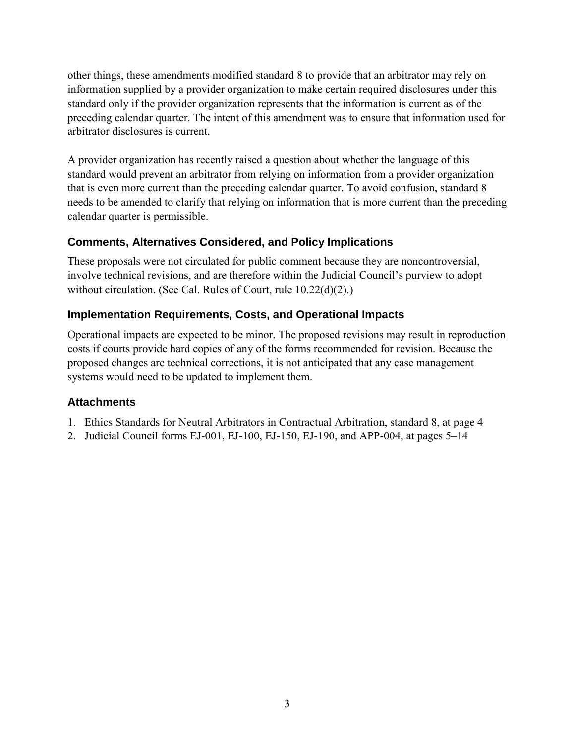other things, these amendments modified standard 8 to provide that an arbitrator may rely on information supplied by a provider organization to make certain required disclosures under this standard only if the provider organization represents that the information is current as of the preceding calendar quarter. The intent of this amendment was to ensure that information used for arbitrator disclosures is current.

A provider organization has recently raised a question about whether the language of this standard would prevent an arbitrator from relying on information from a provider organization that is even more current than the preceding calendar quarter. To avoid confusion, standard 8 needs to be amended to clarify that relying on information that is more current than the preceding calendar quarter is permissible.

### **Comments, Alternatives Considered, and Policy Implications**

These proposals were not circulated for public comment because they are noncontroversial, involve technical revisions, and are therefore within the Judicial Council's purview to adopt without circulation. (See Cal. Rules of Court, rule 10.22(d)(2).)

### **Implementation Requirements, Costs, and Operational Impacts**

Operational impacts are expected to be minor. The proposed revisions may result in reproduction costs if courts provide hard copies of any of the forms recommended for revision. Because the proposed changes are technical corrections, it is not anticipated that any case management systems would need to be updated to implement them.

### **Attachments**

- 1. Ethics Standards for Neutral Arbitrators in Contractual Arbitration, standard 8, at page 4
- 2. Judicial Council forms EJ-001, EJ-100, EJ-150, EJ-190, and APP-004, at pages 5–14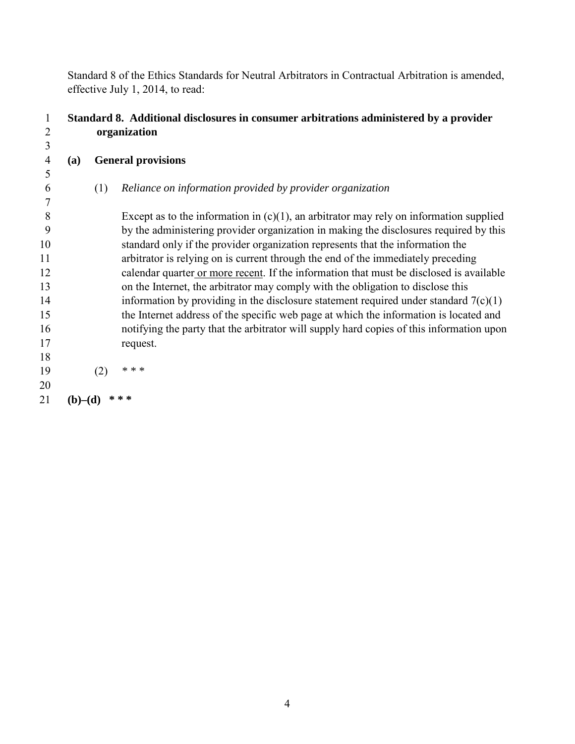Standard 8 of the Ethics Standards for Neutral Arbitrators in Contractual Arbitration is amended, effective July 1, 2014, to read:

### 1 **Standard 8. Additional disclosures in consumer arbitrations administered by a provider**  2 **organization**

 3 4 **(a) General provisions**  5 6 (1) *Reliance on information provided by provider organization* 7 8 Except as to the information in  $(c)(1)$ , an arbitrator may rely on information supplied 9 by the administering provider organization in making the disclosures required by this 10 standard only if the provider organization represents that the information the 11 arbitrator is relying on is current through the end of the immediately preceding 12 calendar quarter or more recent. If the information that must be disclosed is available 13 on the Internet, the arbitrator may comply with the obligation to disclose this 14 information by providing in the disclosure statement required under standard  $7(c)(1)$ 15 the Internet address of the specific web page at which the information is located and 16 notifying the party that the arbitrator will supply hard copies of this information upon 17 request. 18 19 (2) *\* \* \**  20 21 **(b)–(d)**  $**$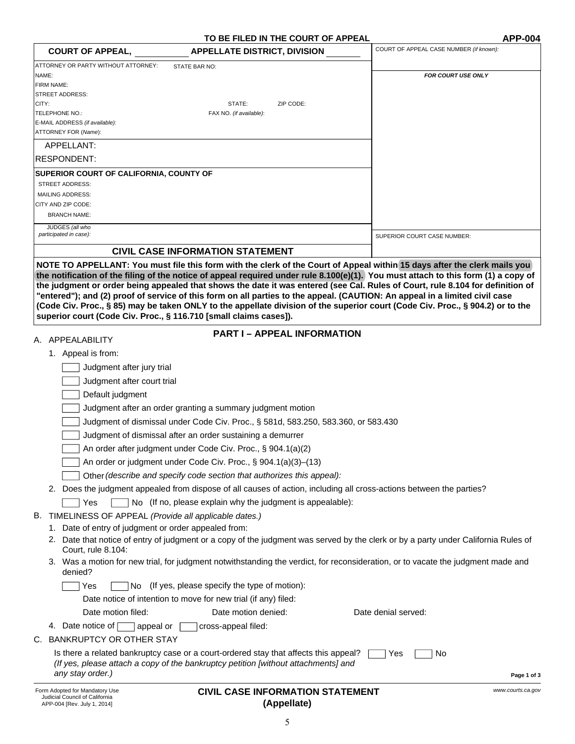| TO BE FILED IN THE COURT OF APPEAL<br><b>COURT OF APPEAL,</b><br><b>APPELLATE DISTRICT, DIVISION</b>                                                                       | <b>APP-004</b><br>COURT OF APPEAL CASE NUMBER (if known): |
|----------------------------------------------------------------------------------------------------------------------------------------------------------------------------|-----------------------------------------------------------|
| ATTORNEY OR PARTY WITHOUT ATTORNEY:<br>STATE BAR NO:                                                                                                                       |                                                           |
| NAME:<br><b>FIRM NAME:</b>                                                                                                                                                 | <b>FOR COURT USE ONLY</b>                                 |
| <b>STREET ADDRESS:</b>                                                                                                                                                     |                                                           |
| CITY:<br>STATE:<br>ZIP CODE:<br>TELEPHONE NO.:<br>FAX NO. (if available):                                                                                                  |                                                           |
| E-MAIL ADDRESS (if available):                                                                                                                                             |                                                           |
| ATTORNEY FOR (Name):                                                                                                                                                       |                                                           |
| APPELLANT:                                                                                                                                                                 |                                                           |
| RESPONDENT:                                                                                                                                                                |                                                           |
| <b>SUPERIOR COURT OF CALIFORNIA, COUNTY OF</b><br><b>STREET ADDRESS:</b>                                                                                                   |                                                           |
| <b>MAILING ADDRESS:</b>                                                                                                                                                    |                                                           |
| CITY AND ZIP CODE:                                                                                                                                                         |                                                           |
| <b>BRANCH NAME:</b>                                                                                                                                                        |                                                           |
| JUDGES (all who<br>participated in case):                                                                                                                                  | SUPERIOR COURT CASE NUMBER:                               |
| <b>CIVIL CASE INFORMATION STATEMENT</b>                                                                                                                                    |                                                           |
| NOTE TO APPELLANT: You must file this form with the clerk of the Court of Appeal within 15 days after the clerk mails you                                                  |                                                           |
| superior court (Code Civ. Proc., § 116.710 [small claims cases]).                                                                                                          |                                                           |
| <b>PART I - APPEAL INFORMATION</b><br>A. APPEALABILITY                                                                                                                     |                                                           |
| 1. Appeal is from:                                                                                                                                                         |                                                           |
| Judgment after jury trial                                                                                                                                                  |                                                           |
| Judgment after court trial                                                                                                                                                 |                                                           |
| Default judgment                                                                                                                                                           |                                                           |
| Judgment after an order granting a summary judgment motion                                                                                                                 |                                                           |
| Judgment of dismissal under Code Civ. Proc., § 581d, 583.250, 583.360, or 583.430                                                                                          |                                                           |
| Judgment of dismissal after an order sustaining a demurrer                                                                                                                 |                                                           |
| An order after judgment under Code Civ. Proc., § 904.1(a)(2)                                                                                                               |                                                           |
| An order or judgment under Code Civ. Proc., § 904.1(a)(3)-(13)                                                                                                             |                                                           |
| Other (describe and specify code section that authorizes this appeal):                                                                                                     |                                                           |
| 2. Does the judgment appealed from dispose of all causes of action, including all cross-actions between the parties?                                                       |                                                           |
| No (If no, please explain why the judgment is appealable):<br>Yes                                                                                                          |                                                           |
| TIMELINESS OF APPEAL (Provide all applicable dates.)<br>В.                                                                                                                 |                                                           |
| Date of entry of judgment or order appealed from:<br>1.                                                                                                                    |                                                           |
| 2. Date that notice of entry of judgment or a copy of the judgment was served by the clerk or by a party under California Rules of<br>Court, rule 8.104:                   |                                                           |
| 3. Was a motion for new trial, for judgment notwithstanding the verdict, for reconsideration, or to vacate the judgment made and<br>denied?                                |                                                           |
| No (If yes, please specify the type of motion):<br>  Yes                                                                                                                   |                                                           |
| Date notice of intention to move for new trial (if any) filed:                                                                                                             |                                                           |
| Date motion filed:<br>Date motion denied:                                                                                                                                  | Date denial served:                                       |
| 4. Date notice of $\lceil$<br>appeal or<br>cross-appeal filed:                                                                                                             |                                                           |
| C. BANKRUPTCY OR OTHER STAY                                                                                                                                                |                                                           |
| Is there a related bankruptcy case or a court-ordered stay that affects this appeal?<br>(If yes, please attach a copy of the bankruptcy petition [without attachments] and | Yes<br>No                                                 |
|                                                                                                                                                                            |                                                           |
| any stay order.)                                                                                                                                                           | Page 1 of 3                                               |

#### **CIVIL CASE INFORMATION STATEMENT (Appellate)**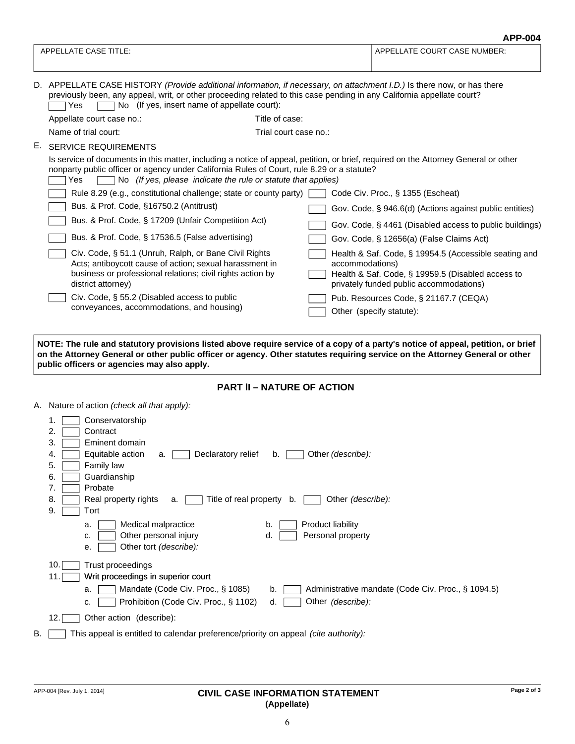| APPELLATE CASE TITLE:<br>No (If yes, insert name of appellate court):<br>Yes<br>Appellate court case no.:<br>Name of trial court:<br><b>SERVICE REQUIREMENTS</b> | Title of case:<br>Trial court case no.:                                                                                                                                                                                                                                                                   | APPELLATE COURT CASE NUMBER:<br>D. APPELLATE CASE HISTORY (Provide additional information, if necessary, on attachment I.D.) Is there now, or has there<br>previously been, any appeal, writ, or other proceeding related to this case pending in any California appellate court?                                                                                                                           |  |  |  |
|------------------------------------------------------------------------------------------------------------------------------------------------------------------|-----------------------------------------------------------------------------------------------------------------------------------------------------------------------------------------------------------------------------------------------------------------------------------------------------------|-------------------------------------------------------------------------------------------------------------------------------------------------------------------------------------------------------------------------------------------------------------------------------------------------------------------------------------------------------------------------------------------------------------|--|--|--|
|                                                                                                                                                                  |                                                                                                                                                                                                                                                                                                           |                                                                                                                                                                                                                                                                                                                                                                                                             |  |  |  |
|                                                                                                                                                                  |                                                                                                                                                                                                                                                                                                           |                                                                                                                                                                                                                                                                                                                                                                                                             |  |  |  |
|                                                                                                                                                                  |                                                                                                                                                                                                                                                                                                           |                                                                                                                                                                                                                                                                                                                                                                                                             |  |  |  |
|                                                                                                                                                                  |                                                                                                                                                                                                                                                                                                           |                                                                                                                                                                                                                                                                                                                                                                                                             |  |  |  |
|                                                                                                                                                                  |                                                                                                                                                                                                                                                                                                           |                                                                                                                                                                                                                                                                                                                                                                                                             |  |  |  |
|                                                                                                                                                                  | Is service of documents in this matter, including a notice of appeal, petition, or brief, required on the Attorney General or other<br>nonparty public officer or agency under California Rules of Court, rule 8.29 or a statute?<br>No (If yes, please indicate the rule or statute that applies)<br>Yes |                                                                                                                                                                                                                                                                                                                                                                                                             |  |  |  |
|                                                                                                                                                                  |                                                                                                                                                                                                                                                                                                           | Code Civ. Proc., § 1355 (Escheat)                                                                                                                                                                                                                                                                                                                                                                           |  |  |  |
| Bus. & Prof. Code, §16750.2 (Antitrust)                                                                                                                          |                                                                                                                                                                                                                                                                                                           | Gov. Code, § 946.6(d) (Actions against public entities)                                                                                                                                                                                                                                                                                                                                                     |  |  |  |
|                                                                                                                                                                  |                                                                                                                                                                                                                                                                                                           | Gov. Code, § 4461 (Disabled access to public buildings)                                                                                                                                                                                                                                                                                                                                                     |  |  |  |
|                                                                                                                                                                  |                                                                                                                                                                                                                                                                                                           | Gov. Code, § 12656(a) (False Claims Act)                                                                                                                                                                                                                                                                                                                                                                    |  |  |  |
| district attorney)                                                                                                                                               |                                                                                                                                                                                                                                                                                                           | Health & Saf. Code, § 19954.5 (Accessible seating and<br>accommodations)<br>Health & Saf. Code, § 19959.5 (Disabled access to<br>privately funded public accommodations)                                                                                                                                                                                                                                    |  |  |  |
| Civ. Code, § 55.2 (Disabled access to public                                                                                                                     |                                                                                                                                                                                                                                                                                                           | Pub. Resources Code, § 21167.7 (CEQA)                                                                                                                                                                                                                                                                                                                                                                       |  |  |  |
|                                                                                                                                                                  |                                                                                                                                                                                                                                                                                                           | Other (specify statute):                                                                                                                                                                                                                                                                                                                                                                                    |  |  |  |
|                                                                                                                                                                  |                                                                                                                                                                                                                                                                                                           | NOTE: The rule and statutory provisions listed above require service of a copy of a party's notice of appeal, petition, or brief<br>on the Attorney General or other public officer or agency. Other statutes requiring service on the Attorney General or other                                                                                                                                            |  |  |  |
|                                                                                                                                                                  | public officers or agencies may also apply.                                                                                                                                                                                                                                                               | Rule 8.29 (e.g., constitutional challenge; state or county party)<br>Bus. & Prof. Code, § 17209 (Unfair Competition Act)<br>Bus. & Prof. Code, § 17536.5 (False advertising)<br>Civ. Code, § 51.1 (Unruh, Ralph, or Bane Civil Rights<br>Acts; antiboycott cause of action; sexual harassment in<br>business or professional relations; civil rights action by<br>conveyances, accommodations, and housing) |  |  |  |



|    |      | A. Nature of action <i>(check all that apply):</i>                                                  |
|----|------|-----------------------------------------------------------------------------------------------------|
|    | 1.   | Conservatorship                                                                                     |
|    | 2.   | Contract                                                                                            |
|    | 3.   | Eminent domain                                                                                      |
|    | 4.   | Other (describe):<br>Equitable action<br>Declaratory relief<br>b.<br>a.                             |
|    | 5.   | Family law                                                                                          |
|    | 6.   | Guardianship                                                                                        |
|    | 7.   | Probate                                                                                             |
|    | 8.   | Title of real property b.<br>Other (describe):<br>Real property rights<br>a.                        |
|    | 9.   | Tort                                                                                                |
|    |      | Product liability<br>Medical malpractice<br>b.<br>a.                                                |
|    |      | d.<br>Personal property<br>Other personal injury<br>c.                                              |
|    |      | Other tort (describe):<br>е.                                                                        |
|    | 10.1 | Trust proceedings                                                                                   |
|    | 11.1 | Writ proceedings in superior court                                                                  |
|    |      | Mandate (Code Civ. Proc., § 1085)<br>Administrative mandate (Code Civ. Proc., § 1094.5)<br>a.<br>b. |
|    |      | Prohibition (Code Civ. Proc., § 1102)<br>Other (describe):<br>d.<br>c.                              |
|    |      |                                                                                                     |
|    | 12.I | Other action (describe):                                                                            |
| В. |      | This appeal is entitled to calendar preference/priority on appeal (cite authority):                 |

#### APP-004 [Rev. July 1, 2014] **Page 2 of 3 CIVIL CASE INFORMATION STATEMENT (Appellate)**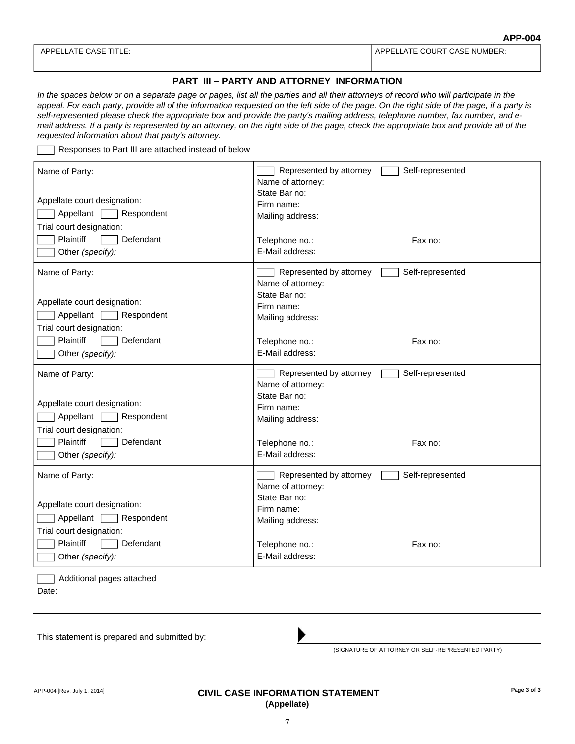APPELLATE CASE TITLE: A REPORT OF STATISTIC COURT CASE NUMBER:

#### **PART III – PARTY AND ATTORNEY INFORMATION**

In the spaces below or on a separate page or pages, list all the parties and all their attorneys of record who will participate in the appeal. For each party, provide all of the information requested on the left side of the page. On the right side of the page, if a party is *self-represented please check the appropriate box and provide the party's mailing address, telephone number, fax number, and email address. If a party is represented by an attorney, on the right side of the page, check the appropriate box and provide all of the requested information about that party's attorney.*

Responses to Part III are attached instead of below

| Name of Party:<br>Appellate court designation:<br>Appellant  <br>Respondent<br>Trial court designation:<br><b>Plaintiff</b><br>Defendant | Represented by attorney<br>Self-represented<br>Name of attorney:<br>State Bar no:<br>Firm name:<br>Mailing address:<br>Fax no: |
|------------------------------------------------------------------------------------------------------------------------------------------|--------------------------------------------------------------------------------------------------------------------------------|
| Other (specify):                                                                                                                         | Telephone no.:<br>E-Mail address:                                                                                              |
| Name of Party:<br>Appellate court designation:<br>Appellant<br>Respondent<br>Trial court designation:                                    | Represented by attorney<br>Self-represented<br>Name of attorney:<br>State Bar no:<br>Firm name:<br>Mailing address:            |
| <b>Plaintiff</b><br>Defendant<br>Other (specify):                                                                                        | Telephone no.:<br>Fax no:<br>E-Mail address:                                                                                   |
| Name of Party:<br>Appellate court designation:<br>Appellant   Respondent<br>Trial court designation:                                     | Represented by attorney<br>Self-represented<br>Name of attorney:<br>State Bar no:<br>Firm name:<br>Mailing address:            |
| <b>Plaintiff</b><br>Defendant<br>Other (specify):                                                                                        | Telephone no.:<br>Fax no:<br>E-Mail address:                                                                                   |
| Name of Party:<br>Appellate court designation:<br>Appellant  <br>Respondent<br>Trial court designation:                                  | Represented by attorney<br>Self-represented<br>Name of attorney:<br>State Bar no:<br>Firm name:<br>Mailing address:            |
| Plaintiff<br>Defendant<br>Other (specify):                                                                                               | Telephone no.:<br>Fax no:<br>E-Mail address:                                                                                   |
| Additional pages attached                                                                                                                |                                                                                                                                |

Date:

This statement is prepared and submitted by:

(SIGNATURE OF ATTORNEY OR SELF-REPRESENTED PARTY)

#### APP-004 [Rev. July 1, 2014] **Page 3 of 3 CIVIL CASE INFORMATION STATEMENT (Appellate)**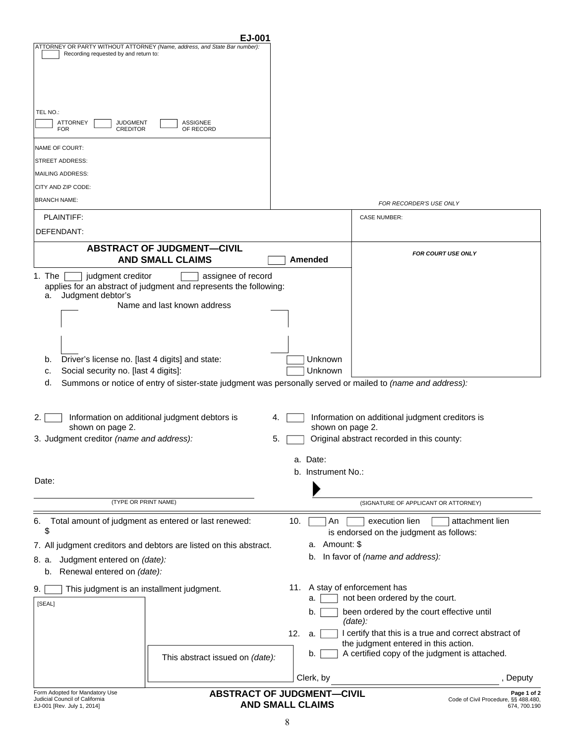| EJ-001                                                                                                             |                                                              |                                                                    |
|--------------------------------------------------------------------------------------------------------------------|--------------------------------------------------------------|--------------------------------------------------------------------|
| ATTORNEY OR PARTY WITHOUT ATTORNEY (Name, address, and State Bar number):<br>Recording requested by and return to: |                                                              |                                                                    |
|                                                                                                                    |                                                              |                                                                    |
|                                                                                                                    |                                                              |                                                                    |
|                                                                                                                    |                                                              |                                                                    |
|                                                                                                                    |                                                              |                                                                    |
| TEL NO.:<br><b>ASSIGNEE</b>                                                                                        |                                                              |                                                                    |
| ATTORNEY<br><b>JUDGMENT</b><br><b>FOR</b><br><b>CREDITOR</b><br>OF RECORD                                          |                                                              |                                                                    |
| NAME OF COURT:                                                                                                     |                                                              |                                                                    |
| STREET ADDRESS:                                                                                                    |                                                              |                                                                    |
| MAILING ADDRESS:                                                                                                   |                                                              |                                                                    |
| CITY AND ZIP CODE:                                                                                                 |                                                              |                                                                    |
| <b>BRANCH NAME:</b>                                                                                                |                                                              |                                                                    |
|                                                                                                                    |                                                              | FOR RECORDER'S USE ONLY                                            |
| PLAINTIFF:                                                                                                         |                                                              | <b>CASE NUMBER:</b>                                                |
| DEFENDANT:                                                                                                         |                                                              |                                                                    |
| <b>ABSTRACT OF JUDGMENT-CIVIL</b>                                                                                  |                                                              | <b>FOR COURT USE ONLY</b>                                          |
| <b>AND SMALL CLAIMS</b>                                                                                            | Amended                                                      |                                                                    |
| assignee of record<br>1. The<br>judgment creditor                                                                  |                                                              |                                                                    |
| applies for an abstract of judgment and represents the following:<br>Judgment debtor's<br>a.                       |                                                              |                                                                    |
| Name and last known address                                                                                        |                                                              |                                                                    |
|                                                                                                                    |                                                              |                                                                    |
|                                                                                                                    |                                                              |                                                                    |
|                                                                                                                    |                                                              |                                                                    |
| Driver's license no. [last 4 digits] and state:<br>b.                                                              | Unknown                                                      |                                                                    |
| Social security no. [last 4 digits]:<br>c.                                                                         | Unknown                                                      |                                                                    |
| Summons or notice of entry of sister-state judgment was personally served or mailed to (name and address):<br>d.   |                                                              |                                                                    |
|                                                                                                                    |                                                              |                                                                    |
|                                                                                                                    |                                                              |                                                                    |
| 2.1<br>Information on additional judgment debtors is<br>shown on page 2.                                           | 4.<br>shown on page 2.                                       | Information on additional judgment creditors is                    |
| 3. Judgment creditor (name and address):                                                                           | 5.                                                           | Original abstract recorded in this county:                         |
|                                                                                                                    |                                                              |                                                                    |
|                                                                                                                    | a. Date:                                                     |                                                                    |
|                                                                                                                    | b. Instrument No.:                                           |                                                                    |
| Date:                                                                                                              |                                                              |                                                                    |
| (TYPE OR PRINT NAME)                                                                                               |                                                              | (SIGNATURE OF APPLICANT OR ATTORNEY)                               |
|                                                                                                                    |                                                              | execution lien<br>attachment lien                                  |
| Total amount of judgment as entered or last renewed:<br>6.<br>\$                                                   | 10.<br>An                                                    | is endorsed on the judgment as follows:                            |
| 7. All judgment creditors and debtors are listed on this abstract.                                                 | a. Amount: \$                                                |                                                                    |
| Judgment entered on (date):<br>8. a.                                                                               |                                                              | b. In favor of (name and address):                                 |
| Renewal entered on (date):<br>b.                                                                                   |                                                              |                                                                    |
|                                                                                                                    |                                                              |                                                                    |
| This judgment is an installment judgment.<br>9.                                                                    | 11. A stay of enforcement has<br>a.                          | not been ordered by the court.                                     |
| [SEAL]                                                                                                             | b.                                                           | been ordered by the court effective until                          |
|                                                                                                                    |                                                              | $(data)$ :                                                         |
|                                                                                                                    | 12.<br>a.                                                    | I certify that this is a true and correct abstract of              |
|                                                                                                                    |                                                              | the judgment entered in this action.                               |
| This abstract issued on (date):                                                                                    | b.                                                           | A certified copy of the judgment is attached.                      |
|                                                                                                                    | Clerk, by                                                    |                                                                    |
|                                                                                                                    |                                                              | , Deputy                                                           |
| Form Adopted for Mandatory Use<br>Judicial Council of California<br>EJ-001 [Rev. July 1, 2014]                     | <b>ABSTRACT OF JUDGMENT-CIVIL</b><br><b>AND SMALL CLAIMS</b> | Page 1 of 2<br>Code of Civil Procedure, §§ 488.480<br>674, 700.190 |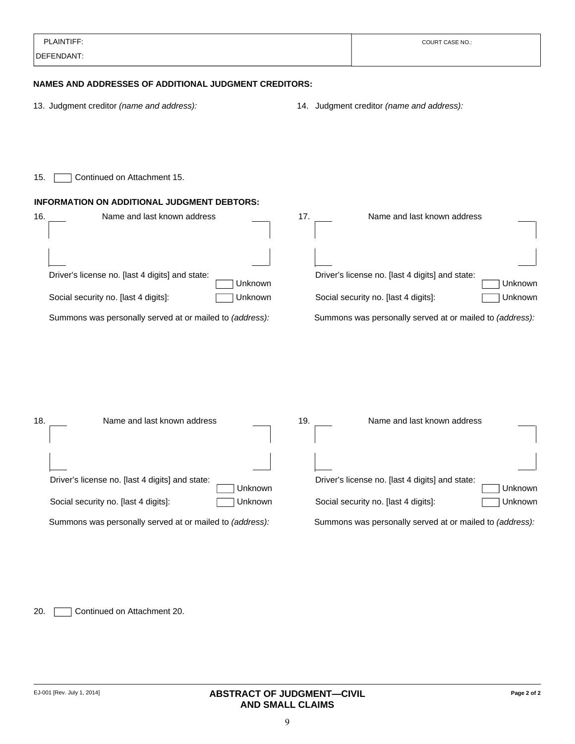| PLAINTIFF:                                                   | <b>COURT CASE NO.:</b>                                     |
|--------------------------------------------------------------|------------------------------------------------------------|
| DEFENDANT:                                                   |                                                            |
| <b>NAMES AND ADDRESSES OF ADDITIONAL JUDGMENT CREDITORS:</b> |                                                            |
| 13. Judgment creditor (name and address):                    | 14. Judgment creditor (name and address):                  |
|                                                              |                                                            |
| Continued on Attachment 15.<br>15.                           |                                                            |
| INFORMATION ON ADDITIONAL JUDGMENT DEBTORS:                  |                                                            |
| Name and last known address<br>16.                           | 17.<br>Name and last known address                         |
|                                                              |                                                            |
| Driver's license no. [last 4 digits] and state:<br>Unknown   | Driver's license no. [last 4 digits] and state:<br>Unknown |
| Social security no. [last 4 digits]:<br>Unknown              | Social security no. [last 4 digits]:<br>Unknown            |
| Summons was personally served at or mailed to (address):     | Summons was personally served at or mailed to (address):   |
|                                                              |                                                            |
| Name and last known address<br>18.                           | 19.<br>Name and last known address                         |
|                                                              |                                                            |
| Driver's license no. [last 4 digits] and state:<br>Unknown   | Driver's license no. [last 4 digits] and state:<br>Unknown |
| Social security no. [last 4 digits]:<br>Unknown              | Social security no. [last 4 digits]:<br>Unknown            |
| Summons was personally served at or mailed to (address):     | Summons was personally served at or mailed to (address):   |
|                                                              |                                                            |
|                                                              |                                                            |
|                                                              |                                                            |
| Continued on Attachment 20.<br>20.                           |                                                            |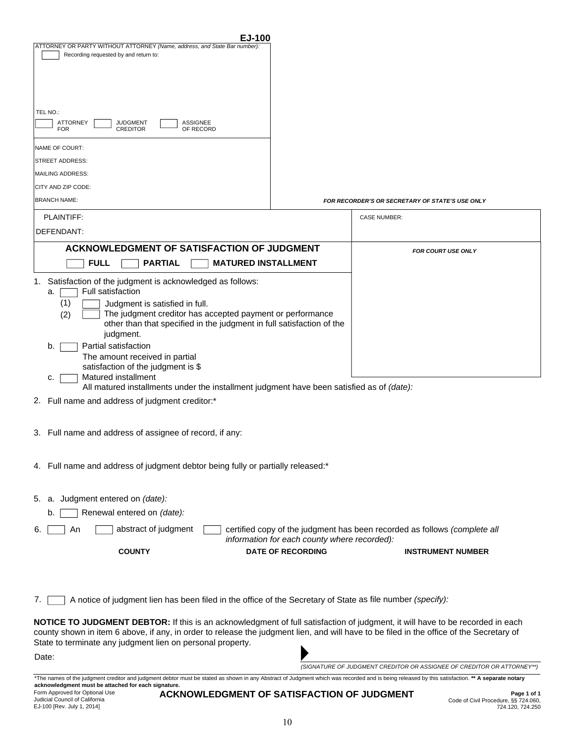| ATTORNEY OR PARTY WITHOUT ATTORNEY (Name, address, and State Bar number)<br>Recording requested by and return to:<br>TEL NO.:<br><b>ATTORNEY</b><br><b>JUDGMENT</b><br>ASSIGNEE<br>OF RECORD<br><b>FOR</b><br><b>CREDITOR</b><br>NAME OF COURT:<br>STREET ADDRESS:<br>MAILING ADDRESS:<br>CITY AND ZIP CODE:<br><b>BRANCH NAME:</b><br>PLAINTIFF:                                                                                                                                                                                                                                  |                                                                                                                           |
|------------------------------------------------------------------------------------------------------------------------------------------------------------------------------------------------------------------------------------------------------------------------------------------------------------------------------------------------------------------------------------------------------------------------------------------------------------------------------------------------------------------------------------------------------------------------------------|---------------------------------------------------------------------------------------------------------------------------|
|                                                                                                                                                                                                                                                                                                                                                                                                                                                                                                                                                                                    |                                                                                                                           |
|                                                                                                                                                                                                                                                                                                                                                                                                                                                                                                                                                                                    |                                                                                                                           |
|                                                                                                                                                                                                                                                                                                                                                                                                                                                                                                                                                                                    |                                                                                                                           |
|                                                                                                                                                                                                                                                                                                                                                                                                                                                                                                                                                                                    |                                                                                                                           |
|                                                                                                                                                                                                                                                                                                                                                                                                                                                                                                                                                                                    |                                                                                                                           |
|                                                                                                                                                                                                                                                                                                                                                                                                                                                                                                                                                                                    |                                                                                                                           |
|                                                                                                                                                                                                                                                                                                                                                                                                                                                                                                                                                                                    | <b>FOR RECORDER'S OR SECRETARY OF STATE'S USE ONLY</b>                                                                    |
|                                                                                                                                                                                                                                                                                                                                                                                                                                                                                                                                                                                    | <b>CASE NUMBER:</b>                                                                                                       |
| DEFENDANT:                                                                                                                                                                                                                                                                                                                                                                                                                                                                                                                                                                         |                                                                                                                           |
| ACKNOWLEDGMENT OF SATISFACTION OF JUDGMENT                                                                                                                                                                                                                                                                                                                                                                                                                                                                                                                                         | <b>FOR COURT USE ONLY</b>                                                                                                 |
| <b>MATURED INSTALLMENT</b><br><b>FULL</b><br><b>PARTIAL</b>                                                                                                                                                                                                                                                                                                                                                                                                                                                                                                                        |                                                                                                                           |
| Satisfaction of the judgment is acknowledged as follows:<br>1.<br>Full satisfaction<br>a.<br>(1)<br>Judgment is satisfied in full.<br>The judgment creditor has accepted payment or performance<br>(2)<br>other than that specified in the judgment in full satisfaction of the<br>judgment.<br>Partial satisfaction<br>b.<br>The amount received in partial<br>satisfaction of the judgment is \$<br>Matured installment<br>c.<br>All matured installments under the installment judgment have been satisfied as of (date):<br>Full name and address of judgment creditor:*<br>2. |                                                                                                                           |
| 3. Full name and address of assignee of record, if any:                                                                                                                                                                                                                                                                                                                                                                                                                                                                                                                            |                                                                                                                           |
| 4. Full name and address of judgment debtor being fully or partially released:*                                                                                                                                                                                                                                                                                                                                                                                                                                                                                                    |                                                                                                                           |
| a. Judgment entered on (date):<br>5.                                                                                                                                                                                                                                                                                                                                                                                                                                                                                                                                               |                                                                                                                           |
| Renewal entered on (date):<br>b.                                                                                                                                                                                                                                                                                                                                                                                                                                                                                                                                                   |                                                                                                                           |
| abstract of judgment<br>An<br>6.                                                                                                                                                                                                                                                                                                                                                                                                                                                                                                                                                   | certified copy of the judgment has been recorded as follows (complete all<br>information for each county where recorded): |
| <b>DATE OF RECORDING</b><br><b>COUNTY</b>                                                                                                                                                                                                                                                                                                                                                                                                                                                                                                                                          | <b>INSTRUMENT NUMBER</b>                                                                                                  |
| A notice of judgment lien has been filed in the office of the Secretary of State as file number (specify):<br>7.                                                                                                                                                                                                                                                                                                                                                                                                                                                                   |                                                                                                                           |
| NOTICE TO JUDGMENT DEBTOR: If this is an acknowledgment of full satisfaction of judgment, it will have to be recorded in each<br>county shown in item 6 above, if any, in order to release the judgment lien, and will have to be filed in the office of the Secretary of<br>State to terminate any judgment lien on personal property.                                                                                                                                                                                                                                            |                                                                                                                           |
| Date:                                                                                                                                                                                                                                                                                                                                                                                                                                                                                                                                                                              |                                                                                                                           |
| *The names of the judgment creditor and judgment debtor must be stated as shown in any Abstract of Judgment which was recorded and is being released by this satisfaction. ** A separate notary                                                                                                                                                                                                                                                                                                                                                                                    | (SIGNATURE OF JUDGMENT CREDITOR OR ASSIGNEE OF CREDITOR OR ATTORNEY**)                                                    |

Form Approved for Optional Use Judicial Council of California EJ-100 [Rev. July 1, 2014]

**ACKNOWLEDGMENT OF SATISFACTION OF JUDGMENT**

**Page 1 of 1** Code of Civil Procedure, §§ 724.060, 724.120, 724.250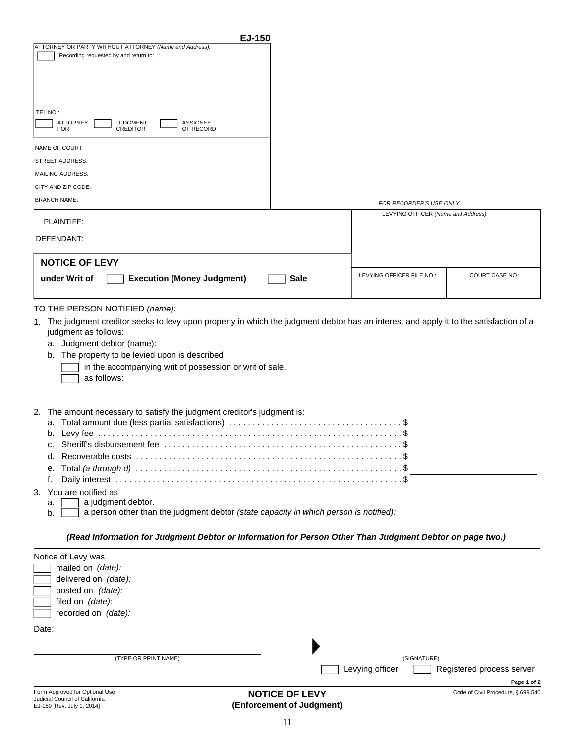| EJ-150                                                                                                                                                                    |                 |                                                                |                                    |
|---------------------------------------------------------------------------------------------------------------------------------------------------------------------------|-----------------|----------------------------------------------------------------|------------------------------------|
| ATTORNEY OR PARTY WITHOUT ATTORNEY (Name and Address):                                                                                                                    |                 |                                                                |                                    |
| Recording requested by and return to:                                                                                                                                     |                 |                                                                |                                    |
|                                                                                                                                                                           |                 |                                                                |                                    |
|                                                                                                                                                                           |                 |                                                                |                                    |
|                                                                                                                                                                           |                 |                                                                |                                    |
|                                                                                                                                                                           |                 |                                                                |                                    |
| TEL NO.:                                                                                                                                                                  |                 |                                                                |                                    |
| <b>ATTORNEY</b><br><b>JUDGMENT</b><br><b>ASSIGNEE</b><br><b>CREDITOR</b><br><b>FOR</b><br>OF RECORD                                                                       |                 |                                                                |                                    |
|                                                                                                                                                                           |                 |                                                                |                                    |
| NAME OF COURT:                                                                                                                                                            |                 |                                                                |                                    |
| <b>STREET ADDRESS:</b>                                                                                                                                                    |                 |                                                                |                                    |
| <b>MAILING ADDRESS:</b>                                                                                                                                                   |                 |                                                                |                                    |
| CITY AND ZIP CODE:                                                                                                                                                        |                 |                                                                |                                    |
| <b>BRANCH NAME:</b>                                                                                                                                                       |                 |                                                                |                                    |
|                                                                                                                                                                           |                 | FOR RECORDER'S USE ONLY<br>LEVYING OFFICER (Name and Address): |                                    |
| PLAINTIFF:                                                                                                                                                                |                 |                                                                |                                    |
|                                                                                                                                                                           |                 |                                                                |                                    |
| DEFENDANT:                                                                                                                                                                |                 |                                                                |                                    |
|                                                                                                                                                                           |                 |                                                                |                                    |
| <b>NOTICE OF LEVY</b>                                                                                                                                                     |                 |                                                                |                                    |
| <b>Execution (Money Judgment)</b><br>under Writ of                                                                                                                        | <b>Sale</b>     | LEVYING OFFICER FILE NO.:                                      | <b>COURT CASE NO.:</b>             |
|                                                                                                                                                                           |                 |                                                                |                                    |
|                                                                                                                                                                           |                 |                                                                |                                    |
| TO THE PERSON NOTIFIED (name):<br>1. The judgment creditor seeks to levy upon property in which the judgment debtor has an interest and apply it to the satisfaction of a |                 |                                                                |                                    |
| judgment as follows:<br>a. Judgment debtor (name):<br>The property to be levied upon is described<br>b.<br>in the accompanying writ of possession or writ of sale.        |                 |                                                                |                                    |
| as follows:                                                                                                                                                               |                 |                                                                |                                    |
| The amount necessary to satisfy the judgment creditor's judgment is:<br>2.                                                                                                |                 |                                                                |                                    |
| a.                                                                                                                                                                        |                 |                                                                |                                    |
| b.                                                                                                                                                                        |                 |                                                                |                                    |
|                                                                                                                                                                           |                 |                                                                |                                    |
|                                                                                                                                                                           |                 |                                                                |                                    |
| е.                                                                                                                                                                        |                 |                                                                |                                    |
| f.                                                                                                                                                                        |                 |                                                                |                                    |
| 3. You are notified as                                                                                                                                                    |                 |                                                                |                                    |
| a judgment debtor.<br>a.                                                                                                                                                  |                 |                                                                |                                    |
| a person other than the judgment debtor (state capacity in which person is notified):<br>b.                                                                               |                 |                                                                |                                    |
|                                                                                                                                                                           |                 |                                                                |                                    |
| (Read Information for Judgment Debtor or Information for Person Other Than Judgment Debtor on page two.)                                                                  |                 |                                                                |                                    |
| Notice of Levy was                                                                                                                                                        |                 |                                                                |                                    |
| mailed on (date):                                                                                                                                                         |                 |                                                                |                                    |
| delivered on (date):                                                                                                                                                      |                 |                                                                |                                    |
| posted on (date):                                                                                                                                                         |                 |                                                                |                                    |
| filed on (date):                                                                                                                                                          |                 |                                                                |                                    |
| recorded on (date):                                                                                                                                                       |                 |                                                                |                                    |
| Date:                                                                                                                                                                     |                 |                                                                |                                    |
|                                                                                                                                                                           |                 |                                                                |                                    |
|                                                                                                                                                                           |                 |                                                                |                                    |
| (TYPE OR PRINT NAME)                                                                                                                                                      |                 | (SIGNATURE)                                                    |                                    |
|                                                                                                                                                                           | Levying officer |                                                                | Registered process server          |
|                                                                                                                                                                           |                 |                                                                | Page 1 of 2                        |
| Form Approved for Optional Use                                                                                                                                            | NOTICE OF LEVY  |                                                                | Code of Civil Procedure, § 699.540 |

| Form Approved for Optional Use |
|--------------------------------|
| Judicial Council of California |
| EJ-150 [Rev. July 1, 2014]     |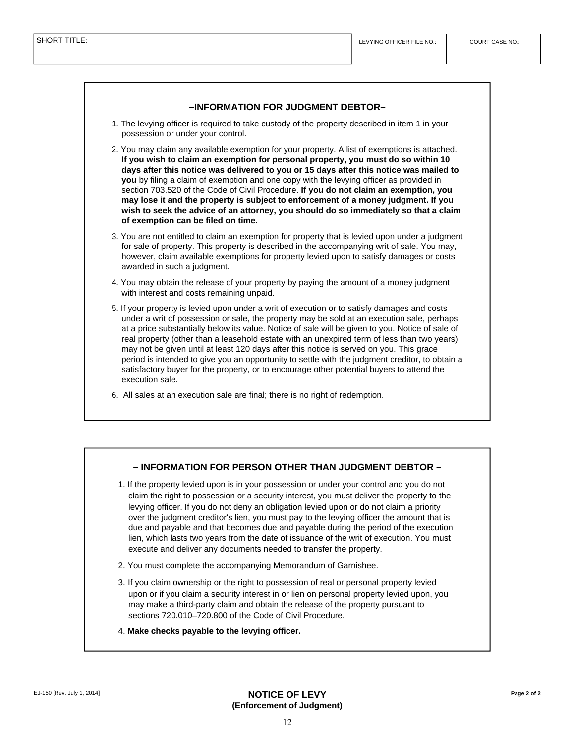#### **–INFORMATION FOR JUDGMENT DEBTOR–**

- 1. The levying officer is required to take custody of the property described in item 1 in your possession or under your control.
- 2. You may claim any available exemption for your property. A list of exemptions is attached. **If you wish to claim an exemption for personal property, you must do so within 10 days after this notice was delivered to you or 15 days after this notice was mailed to you** by filing a claim of exemption and one copy with the levying officer as provided in section 703.520 of the Code of Civil Procedure. **If you do not claim an exemption, you may lose it and the property is subject to enforcement of a money judgment. If you wish to seek the advice of an attorney, you should do so immediately so that a claim of exemption can be filed on time.**
- 3. You are not entitled to claim an exemption for property that is levied upon under a judgment for sale of property. This property is described in the accompanying writ of sale. You may, however, claim available exemptions for property levied upon to satisfy damages or costs awarded in such a judgment.
- 4. You may obtain the release of your property by paying the amount of a money judgment with interest and costs remaining unpaid.
- 5. If your property is levied upon under a writ of execution or to satisfy damages and costs under a writ of possession or sale, the property may be sold at an execution sale, perhaps at a price substantially below its value. Notice of sale will be given to you. Notice of sale of real property (other than a leasehold estate with an unexpired term of less than two years) may not be given until at least 120 days after this notice is served on you. This grace period is intended to give you an opportunity to settle with the judgment creditor, to obtain a satisfactory buyer for the property, or to encourage other potential buyers to attend the execution sale.
- 6. All sales at an execution sale are final; there is no right of redemption.

#### **– INFORMATION FOR PERSON OTHER THAN JUDGMENT DEBTOR –**

- 1. If the property levied upon is in your possession or under your control and you do not claim the right to possession or a security interest, you must deliver the property to the levying officer. If you do not deny an obligation levied upon or do not claim a priority over the judgment creditor's lien, you must pay to the levying officer the amount that is due and payable and that becomes due and payable during the period of the execution lien, which lasts two years from the date of issuance of the writ of execution. You must execute and deliver any documents needed to transfer the property.
- 2. You must complete the accompanying Memorandum of Garnishee.
- 3. If you claim ownership or the right to possession of real or personal property levied upon or if you claim a security interest in or lien on personal property levied upon, you may make a third-party claim and obtain the release of the property pursuant to sections 720.010–720.800 of the Code of Civil Procedure.
- 4. **Make checks payable to the levying officer.**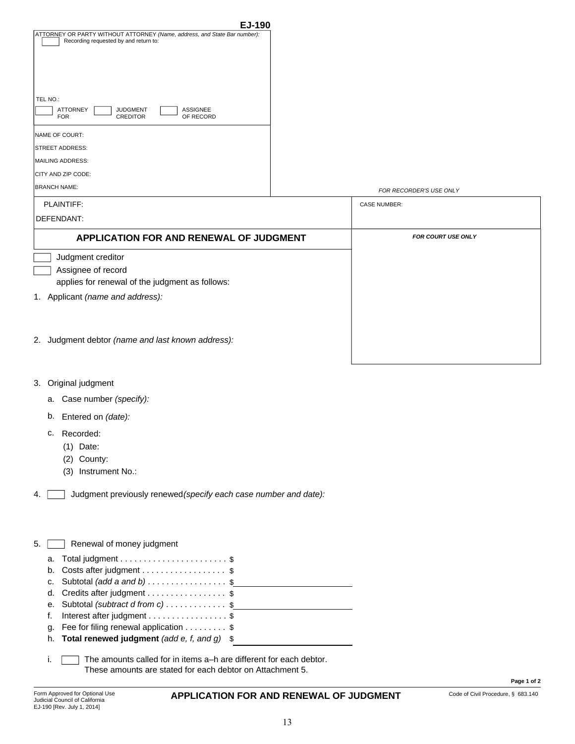|                                                                           | EJ-190                  |
|---------------------------------------------------------------------------|-------------------------|
| ATTORNEY OR PARTY WITHOUT ATTORNEY (Name, address, and State Bar number): |                         |
| Recording requested by and return to:                                     |                         |
|                                                                           |                         |
|                                                                           |                         |
|                                                                           |                         |
|                                                                           |                         |
|                                                                           |                         |
|                                                                           |                         |
|                                                                           |                         |
| TEL NO.:                                                                  |                         |
| <b>ATTORNEY</b><br><b>ASSIGNEE</b><br><b>JUDGMENT</b>                     |                         |
| <b>CREDITOR</b><br>OF RECORD<br><b>FOR</b>                                |                         |
|                                                                           |                         |
|                                                                           |                         |
| NAME OF COURT:                                                            |                         |
| <b>STREET ADDRESS:</b>                                                    |                         |
|                                                                           |                         |
| MAILING ADDRESS:                                                          |                         |
|                                                                           |                         |
| CITY AND ZIP CODE:                                                        |                         |
| <b>BRANCH NAME:</b>                                                       |                         |
|                                                                           | FOR RECORDER'S USE ONLY |

| <b>FOR RECORDER'S USE ONLY</b> |  |
|--------------------------------|--|

| PLAINTIFF:                                           | <b>CASE NUMBER:</b>       |
|------------------------------------------------------|---------------------------|
| DEFENDANT:                                           |                           |
| <b>APPLICATION FOR AND RENEWAL OF JUDGMENT</b>       | <b>FOR COURT USE ONLY</b> |
| Judgment creditor                                    |                           |
| Assignee of record                                   |                           |
| applies for renewal of the judgment as follows:      |                           |
| Applicant (name and address):                        |                           |
|                                                      |                           |
|                                                      |                           |
| Judgment debtor (name and last known address):<br>2. |                           |

- 3. Original judgment
	- Case number *(specify):* a.
	- b. Entered on *(date):*
	- c. Recorded:
		- (1) Date:
		- (2) County:
		- (3) Instrument No.:
- 4.  $\Box$  Judgment previously renewed (specify each case number and date):

| -5. |  | Renewal of money judgment |  |  |
|-----|--|---------------------------|--|--|
|-----|--|---------------------------|--|--|

| a. Total judgment $\dots\dots\dots\dots\dots\dots\dots$ \$ |  |
|------------------------------------------------------------|--|
| b. Costs after judgment \$                                 |  |
| c. Subtotal (add a and b) $\ldots \ldots \ldots \ldots$    |  |
| d. Credits after judgment \$                               |  |
| e. Subtotal <i>(subtract d from c)</i> \$                  |  |
| f. Interest after judgment $\ldots$ \$                     |  |
| g. Fee for filing renewal application $\ldots \ldots$ \$   |  |
| h. Total renewed judgment (add e, f, and g) $$$            |  |
|                                                            |  |

i. The amounts called for in items a–h are different for each debtor.  $\sqrt{ }$ These amounts are stated for each debtor on Attachment 5.

#### **APPLICATION FOR AND RENEWAL OF JUDGMENT** Code of Civil Procedure, § 683.140